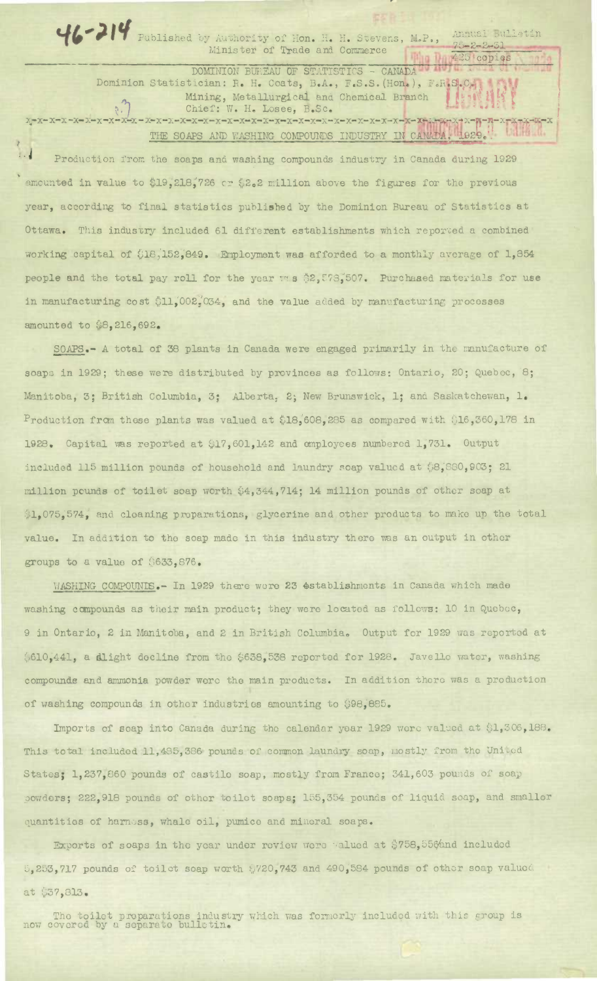44-214 Published by Authority of Hon. H. H. Stevens, M.P., Annual Bulletin  $75 - 2 - 2 - 51$ Minister of Trade and Commerce **TTM** 425 copies DOMINION BUREAU OF STATISTICS - CANADA Dominion Statistician: R. H. Coats, B.A., F.S.S. (Hon.), F.R.S.C. .. Mining, Metallurgical and Chemical Branch Chief: W. H. Losee, B.Sc. La Te THE SOAPS AND WASHING COMPOUNDS INDUSTRY IN CANADA, 1929.

Production from the soaps and washing compounds industry in Canada during 1929 amounted in value to \$19,218,726 cr \$2.2 million above the figures for the previous year, according to final statistics published by the Dominion Bureau of Statistics at Ottawa. This industry included 61 different establishments which reported a combined working capital of  $(18, 152, 849)$ . Employment was afforded to a monthly average of 1,854 people and the total pay roll for the year ws \$2,573,507. Purchased materials for use in manufacturing cost \$11,002,034, and the value added by manufacturing processes amounted to \$8,216,692.

SOAPS.- A total of 38 plants in Canada were engaged primarily in the manufacture of soaps in 1929; these were distributed by provinces as follows: Ontario, 20; Quebec, 8; Manitoba, 3; British Columbia, 3; Alberta, 2; New Brunswick, 1; and Saskatchewan, 1. Production from these plants was valued at \$18,608,285 as compared with \$16,360,178 in 1928. Capital was reported at \$17,601,142 and employees numbered 1,731. Output included 115 million pounds of household and laundry soap valued at \$8,880,903; 21 million pounds of toilet soap worth \$4,344,714; 14 million pounds of other soap at \$1,075,574, and cleaning preparations, glycerine and other products to make up the total value. In addition to the soap made in this industry there was an output in other groups to a value of \$633,876.

WASHING COMPOUNDS.- In 1929 there were 23 @stablishments in Canada which made washing compounds as their main product; they were located as follows: 10 in Quebec, 9 in Ontario, 2 in Manitoba, and 2 in British Columbia. Output for 1929 was reported at \$610,441, a slight docline from the \$638,538 reported for 1928. Javelle water, washing compounds and ammonia powder were the main products. In addition there was a production of washing compounds in other industries amounting to \$98,885.

Imports of soap into Canada during the calendar year 1929 were valued at \$1,306,188. This total included 11,495,386 pounds of common laundry soap, nostly from the United States; 1,237,860 pounds of castile soap, mostly from France; 341,603 pounds of soap powders; 222,918 pounds of other toilet soaps; 155,354 pounds of liquid soap, and smallor quantities of harnoss, whale oil, pumice and mineral soaps.

Exports of soaps in the year under review were walued at \$758,556and included 5,253,717 pounds of toilet soap worth \$720,743 and 490,584 pounds of other soap valued at \$37,813.

The toilet proparations industry which was formerly included with this group is now covered by a separate bulletin.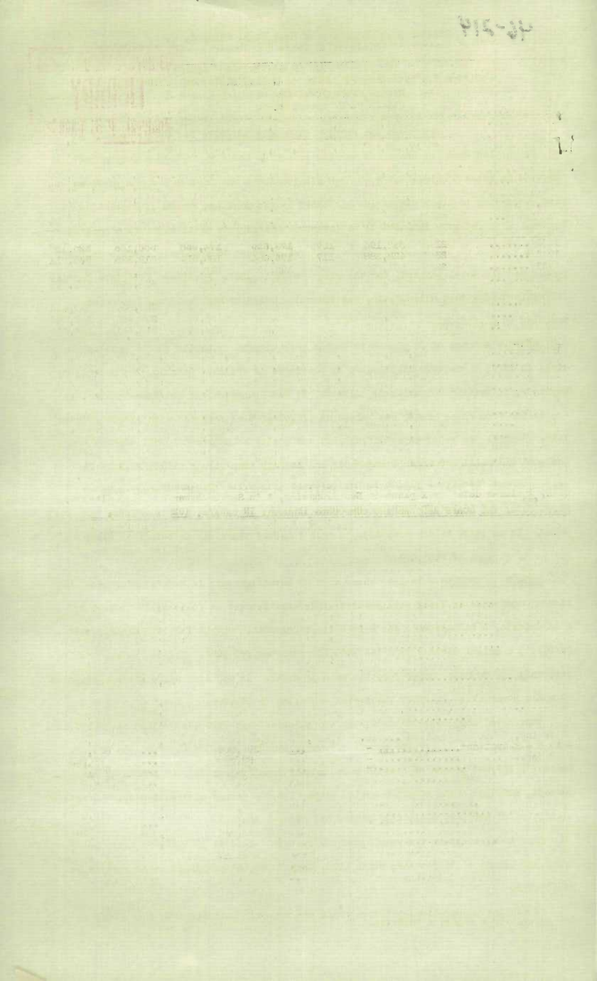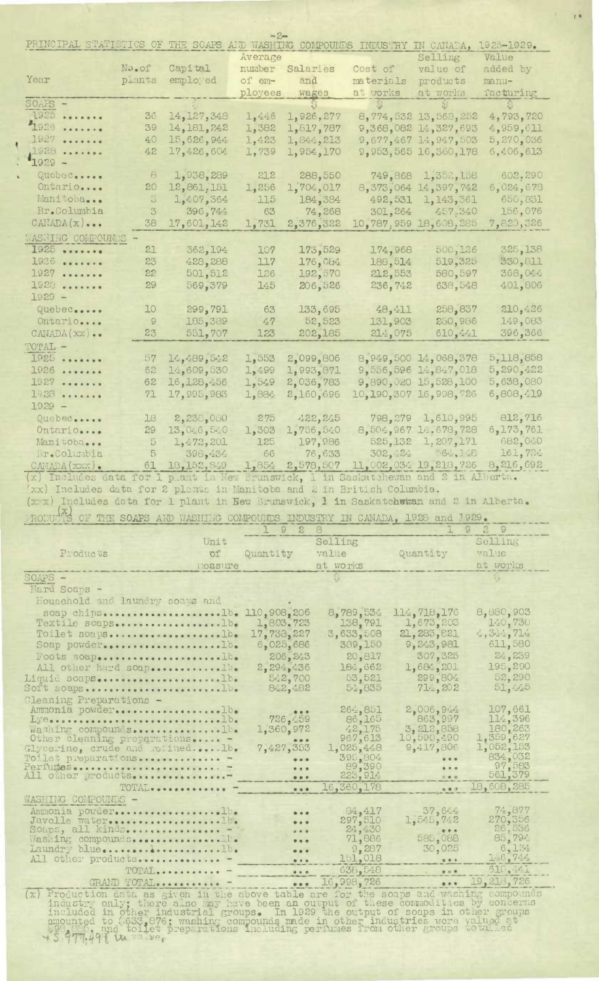|                                                                                       |                |                     | -2-           |                     |                                       |                           |                   |  |  |  |
|---------------------------------------------------------------------------------------|----------------|---------------------|---------------|---------------------|---------------------------------------|---------------------------|-------------------|--|--|--|
| PRINCIPAL STATISTICS OF THE SOAPS AND WASHING COMPOUNDS INDUSTRY IN CANADA,           |                |                     |               |                     |                                       | Selling                   | $1925 - 1929.$    |  |  |  |
|                                                                                       | No.of          | Capital             | Average       | number Salaries     | Cost of                               | value of                  | Value<br>added by |  |  |  |
| Year                                                                                  | plants         | emploj ed           | of em-        | and                 | materials                             | products                  | manu-             |  |  |  |
|                                                                                       |                |                     | ployees wages |                     | at works                              | at works                  | facturing         |  |  |  |
| $SOLFS -$                                                                             |                |                     |               |                     |                                       |                           |                   |  |  |  |
| 1925                                                                                  | 36             | 14, 127, 348        | 1,446         | 1,926,277           |                                       | 8,774,532 13,563,252      | 4,793,720         |  |  |  |
| 1926                                                                                  | 39             | 14, 181, 242        | 1,382         | 1,817,787           |                                       | 9,368,082 14,327,693      | 4,959,611         |  |  |  |
| 1927                                                                                  | 40             | 15,626,944          | 1,423         | 1,844,213           |                                       | 9,677,467 14,947,503      | 5,270,036         |  |  |  |
| 1928                                                                                  | 42             | 17,426,604          | 1,739         | 1,954,170           |                                       | 9,953,565 16,560,178      | 6,406,613         |  |  |  |
| $1929 -$                                                                              |                |                     |               |                     |                                       |                           |                   |  |  |  |
| Quebec                                                                                | $\Theta$       | 1,938,289           | 212           | 288,550             | 749,868                               | 1, 3.3.158                | 602.290           |  |  |  |
| Ontario                                                                               | 20             | 12,861,151          | 1,256         | 1,704,017           |                                       | 8, 373, 064 14, 397, 742  | 6,024,678         |  |  |  |
| Manitoba                                                                              | 5              | 1,407,364           | 115           | 184,384             |                                       | 492, 531 1, 143, 361      | 650,831           |  |  |  |
| Br.Columbia                                                                           | 3              | 396,744             | 63            | 74,268              |                                       | 301,264 457,340           | 156,076           |  |  |  |
| $CAMADA(x)$                                                                           | 38             | 17,601,142          | 1,731         | 2,376,322           |                                       | 10,787,959 18,608,285     | 7,829,326         |  |  |  |
| WASHING COMPOUNDS                                                                     |                |                     |               |                     |                                       |                           |                   |  |  |  |
| 1925                                                                                  | 21             | 362,194             | 107           | 173,529             | 174,968                               | 500,126                   | 325,138           |  |  |  |
| $1926$                                                                                | 23             | 428,288             | 117           | 176,084             | 188,514                               | 519,325                   | 330,811           |  |  |  |
| 1927                                                                                  | 22             | 501,512             | 126           | 192,570             | 212,553                               | 580,597                   | 368,044           |  |  |  |
| 1928                                                                                  | 29             | 569,379             | 145           | 206,526             | 236,742                               | 638,548                   | 401,806           |  |  |  |
| $1929 -$                                                                              |                |                     |               |                     |                                       |                           |                   |  |  |  |
| Quebec                                                                                | 10             | 299,791             | 63            | 133,695             | 48,411                                | 258,837                   | 210,426           |  |  |  |
| Ontario                                                                               | $\overline{9}$ | 185,389             | 47            | 52,523              | 131,903                               | 250,986                   | 149,083           |  |  |  |
| $CANADA(xx) \rightarrow$                                                              | 23             | 551,707             | 123           | 202,185             | 214,075                               | 610, 41                   | 396,366           |  |  |  |
| TOTAL -                                                                               |                |                     |               |                     |                                       |                           |                   |  |  |  |
| 1925                                                                                  | 57             | 14,489,542          | 1,553         | 2,099,806           |                                       | 8,949,500 14,068,378      | 5,118,858         |  |  |  |
| 1926                                                                                  | 62             | 14,609,530          | 1,499         | 1,993,871           |                                       | 9,556,596 14,847,018      | 5,290,422         |  |  |  |
| 1927                                                                                  | 62             | 16, 128, 456        | 1,549         | 2,036,783           |                                       | 9,890,020 15,528,100      | 5,638,080         |  |  |  |
| 1928                                                                                  | 71             | 17,995,983          | 1,884         | 2,160,696           |                                       | 10, 190, 307 16, 998, 726 | 6,808,419         |  |  |  |
| $1929 -$                                                                              |                |                     |               |                     |                                       |                           |                   |  |  |  |
| Quebec                                                                                |                | 18 2,238,080        | 275           | 422, 245            |                                       | 798, 279 1, 610, 995      | 812,716           |  |  |  |
| Ontario                                                                               |                | 29 13,046,540       |               | $1,303$ $1,756,540$ |                                       | 8,504,967 14.678,728      | 6,173,761         |  |  |  |
| Manitoba                                                                              |                | $5 \quad 1,472,201$ | 125           |                     | 197,986 525,132 1.207,171             |                           | 682,040           |  |  |  |
| Br.Columbia                                                                           |                | $5 - 398,434$       |               |                     | 66 76,633 302, 22                     | 564,148                   | 161,724           |  |  |  |
| CANADA (XXX).                                                                         |                | 61 18, 152, 849     |               |                     | 1,854 2,578,507 11,002,034 19,218,726 |                           | 8,216,692         |  |  |  |
| (x) Includes data for 1 plant in New Brunswick, 1 in Saskatchewan and 2 in Alberta.   |                |                     |               |                     |                                       |                           |                   |  |  |  |
| (xx) Includes data for 2 plants in Manitoba and 2 in British Columbia.                |                |                     |               |                     |                                       |                           |                   |  |  |  |
| (xxx) Includes data for 1 plant in New Brunswick, 1 in Saskatchewan and 2 in Alberta. |                |                     |               |                     |                                       |                           |                   |  |  |  |
| FRODUCTS OF THE SOAPS AND WASHING COMPOUNDS INDUSTRY IN CANADA, 1928 and 1929.        |                |                     |               |                     |                                       |                           |                   |  |  |  |
| 9<br>$\mathbb{R}$<br>8<br>9<br>9                                                      |                |                     |               |                     |                                       |                           |                   |  |  |  |

 $\epsilon$   $\approx$ 

|                                                                                                                                                                               |         | $\begin{array}{ccc} 1 & 0 & 5 \end{array}$ |                      | $\perp$<br>929                                                                                                                                                                                                                                                                                                                                                                               |                      |  |  |  |  |
|-------------------------------------------------------------------------------------------------------------------------------------------------------------------------------|---------|--------------------------------------------|----------------------|----------------------------------------------------------------------------------------------------------------------------------------------------------------------------------------------------------------------------------------------------------------------------------------------------------------------------------------------------------------------------------------------|----------------------|--|--|--|--|
|                                                                                                                                                                               | Unit    |                                            | Selling              |                                                                                                                                                                                                                                                                                                                                                                                              | Selling              |  |  |  |  |
| Products                                                                                                                                                                      | of      | Quantity                                   | value                | Quantity                                                                                                                                                                                                                                                                                                                                                                                     | value                |  |  |  |  |
|                                                                                                                                                                               | measure |                                            | at works             |                                                                                                                                                                                                                                                                                                                                                                                              | at works             |  |  |  |  |
| $SORPS -$                                                                                                                                                                     |         |                                            |                      |                                                                                                                                                                                                                                                                                                                                                                                              |                      |  |  |  |  |
| Hard Soaps -                                                                                                                                                                  |         |                                            |                      |                                                                                                                                                                                                                                                                                                                                                                                              |                      |  |  |  |  |
| Household and laundry soars and                                                                                                                                               |         |                                            |                      |                                                                                                                                                                                                                                                                                                                                                                                              |                      |  |  |  |  |
| soap chips1b. 110,908,206                                                                                                                                                     |         |                                            | 8,789,534            | 114, 718, 176                                                                                                                                                                                                                                                                                                                                                                                | 8,880,903            |  |  |  |  |
| Textile soaps                                                                                                                                                                 |         | 1,803.723                                  | 138,791              | 1,673,203                                                                                                                                                                                                                                                                                                                                                                                    | 140,730              |  |  |  |  |
| Toilet soapsD.                                                                                                                                                                |         | 17,733,227                                 | 3,633,508            | 21, 283, 821                                                                                                                                                                                                                                                                                                                                                                                 | 4,344,714            |  |  |  |  |
| Soap powder                                                                                                                                                                   |         | 6,025,686                                  | 389,150              | 9,243,981                                                                                                                                                                                                                                                                                                                                                                                    | 611,580              |  |  |  |  |
| $Foots$ soap                                                                                                                                                                  |         | 206, 243                                   | 20,817               | 307,325                                                                                                                                                                                                                                                                                                                                                                                      | 24,259               |  |  |  |  |
| All other hard soaplb.                                                                                                                                                        |         | 2,294,436                                  | 184,662              | 1,684,201                                                                                                                                                                                                                                                                                                                                                                                    | 195,290              |  |  |  |  |
| Liquid soaps                                                                                                                                                                  |         | 542,700                                    | 53,521               | 299,804                                                                                                                                                                                                                                                                                                                                                                                      | 52,290               |  |  |  |  |
| Soft soaps                                                                                                                                                                    |         | 8.2, 482                                   | 5.335                | 714,202                                                                                                                                                                                                                                                                                                                                                                                      | 51, 45               |  |  |  |  |
| Cleaning Preparations -                                                                                                                                                       |         |                                            |                      |                                                                                                                                                                                                                                                                                                                                                                                              |                      |  |  |  |  |
| Ammonia powderD.                                                                                                                                                              |         | 0.0.0                                      | 264,851              | 2,006,94.                                                                                                                                                                                                                                                                                                                                                                                    | 107,661              |  |  |  |  |
| $Ly\theta$                                                                                                                                                                    |         | 726,459                                    | 86,165               | 863,997                                                                                                                                                                                                                                                                                                                                                                                      | 11/2,396             |  |  |  |  |
| Washing compoundsD.                                                                                                                                                           |         | 1,360,972                                  | 42,175               | 3,212,858<br>10,590,490                                                                                                                                                                                                                                                                                                                                                                      | 180,263<br>1,359,627 |  |  |  |  |
| Other cleaning preparations -<br>Glycerine, crude and refined lb.                                                                                                             |         | 0.000<br>7,427,353                         | 967,613<br>1,025,448 | 9,417,806                                                                                                                                                                                                                                                                                                                                                                                    | 1,052,153            |  |  |  |  |
| Toilet preparations -                                                                                                                                                         |         | $\bullet\bullet\bullet$                    | 395,804              | 4.4.4                                                                                                                                                                                                                                                                                                                                                                                        | 834,032              |  |  |  |  |
|                                                                                                                                                                               |         | 9.8.9                                      | 89,390               | 0.0.0                                                                                                                                                                                                                                                                                                                                                                                        | 97,583<br>561,379    |  |  |  |  |
| All other products                                                                                                                                                            |         | $\cdots$                                   | 223,914              | 0.00                                                                                                                                                                                                                                                                                                                                                                                         |                      |  |  |  |  |
| TOTAL                                                                                                                                                                         |         | $-0.0$                                     | 16,360,178           | 680                                                                                                                                                                                                                                                                                                                                                                                          | 18,608,285           |  |  |  |  |
| WASHING COMPOUNDS -                                                                                                                                                           |         |                                            |                      |                                                                                                                                                                                                                                                                                                                                                                                              |                      |  |  |  |  |
| Anmonia powder                                                                                                                                                                |         | $+ + +$                                    | 34,417               | 37,644                                                                                                                                                                                                                                                                                                                                                                                       | 74,877               |  |  |  |  |
| Javelle water                                                                                                                                                                 |         | $\bullet$ = $\bullet$                      | 297,510              | 1,545,742                                                                                                                                                                                                                                                                                                                                                                                    | 270, 356             |  |  |  |  |
| SOaps, all kinds                                                                                                                                                              |         | $- + -$                                    | 24,430               | $\frac{1}{2} \frac{1}{2} \frac{1}{2} \frac{1}{2} \frac{1}{2} \frac{1}{2} \frac{1}{2} \frac{1}{2} \frac{1}{2} \frac{1}{2} \frac{1}{2} \frac{1}{2} \frac{1}{2} \frac{1}{2} \frac{1}{2} \frac{1}{2} \frac{1}{2} \frac{1}{2} \frac{1}{2} \frac{1}{2} \frac{1}{2} \frac{1}{2} \frac{1}{2} \frac{1}{2} \frac{1}{2} \frac{1}{2} \frac{1}{2} \frac{1}{2} \frac{1}{2} \frac{1}{2} \frac{1}{2} \frac{$ |                      |  |  |  |  |
| Washing compounds                                                                                                                                                             |         | $- - -$                                    | 71,886               | 585,088                                                                                                                                                                                                                                                                                                                                                                                      | 85,794<br>6,134      |  |  |  |  |
| Laundry blueb.<br>All other products                                                                                                                                          |         | $+ + +$                                    | 9,287<br>151,018     | 30,025<br>$\mathbf{a} \cdot \mathbf{a} \cdot \mathbf{a}$                                                                                                                                                                                                                                                                                                                                     | 146,744              |  |  |  |  |
| $\text{TCTAL}$ , , , , , , , , , , , , $-$                                                                                                                                    |         | 0.4.6                                      | 638,548              |                                                                                                                                                                                                                                                                                                                                                                                              | 610.441              |  |  |  |  |
|                                                                                                                                                                               |         | 0.0.0                                      | 16,998,726           | $\bullet \circ \bullet$                                                                                                                                                                                                                                                                                                                                                                      | 19, 218, 726         |  |  |  |  |
| GRAND TOTAL                                                                                                                                                                   |         |                                            |                      | $\frac{1}{2} \frac{1}{2} \frac{1}{2} \frac{1}{2} \frac{1}{2}$                                                                                                                                                                                                                                                                                                                                |                      |  |  |  |  |
| (x) Production data as given in the above table are for the soaps and washing compounds<br>industry only: there also way have been an output of these commodities by concerns |         |                                            |                      |                                                                                                                                                                                                                                                                                                                                                                                              |                      |  |  |  |  |

industry only; there also may have been an output of these commodities by concerns<br>included in other industrial groups. In 1929 the output of soaps in other groups<br>amounted to  $0.633.876$ ; washing compounds made in other